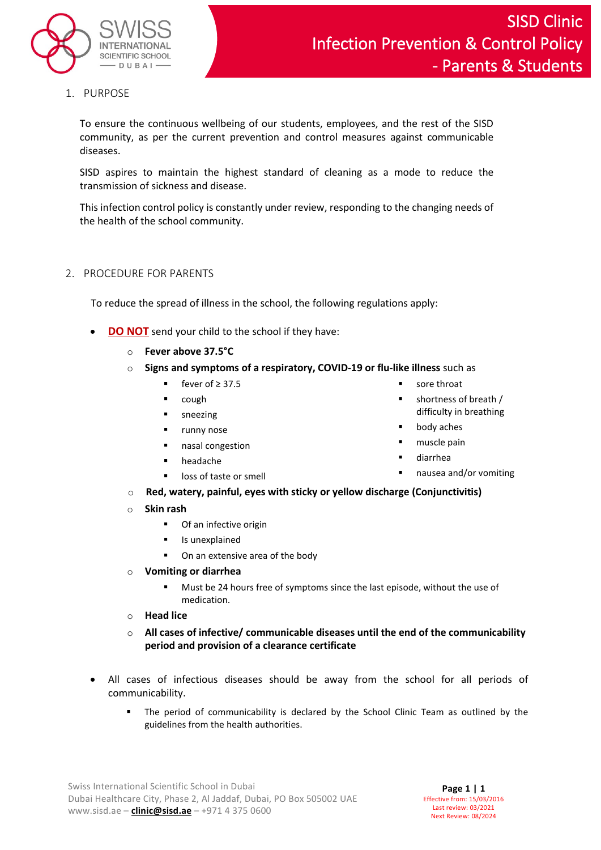

1. PURPOSE

To ensure the continuous wellbeing of our students, employees, and the rest of the SISD community, as per the current prevention and control measures against communicable diseases.

SISD aspires to maintain the highest standard of cleaning as a mode to reduce the transmission of sickness and disease.

This infection control policy is constantly under review, responding to the changing needs of the health of the school community.

## 2. PROCEDURE FOR PARENTS

To reduce the spread of illness in the school, the following regulations apply:

- **DO NOT** send your child to the school if they have:
	- o **Fever above 37.5°C**
	- o **Signs and symptoms of a respiratory, COVID-19 or flu-like illness** such as
		- fever of  $\geq$  37.5
		- cough
		- sneezing
		- runny nose
		- nasal congestion
		- headache

 diarrhea nausea and/or vomiting

 shortness of breath / difficulty in breathing

**sore throat** 

 body aches muscle pain

- o **Red, watery, painful, eyes with sticky or yellow discharge (Conjunctivitis)**
- o **Skin rash** 
	- **Of an infective origin**

loss of taste or smell

- **I** Is unexplained
- On an extensive area of the body
- **Vomiting or diarrhea** 
	- Must be 24 hours free of symptoms since the last episode, without the use of medication.
- o **Head lice**
- o **All cases of infective/ communicable diseases until the end of the communicability period and provision of a clearance certificate**
- All cases of infectious diseases should be away from the school for all periods of communicability.
	- The period of communicability is declared by the School Clinic Team as outlined by the guidelines from the health authorities.